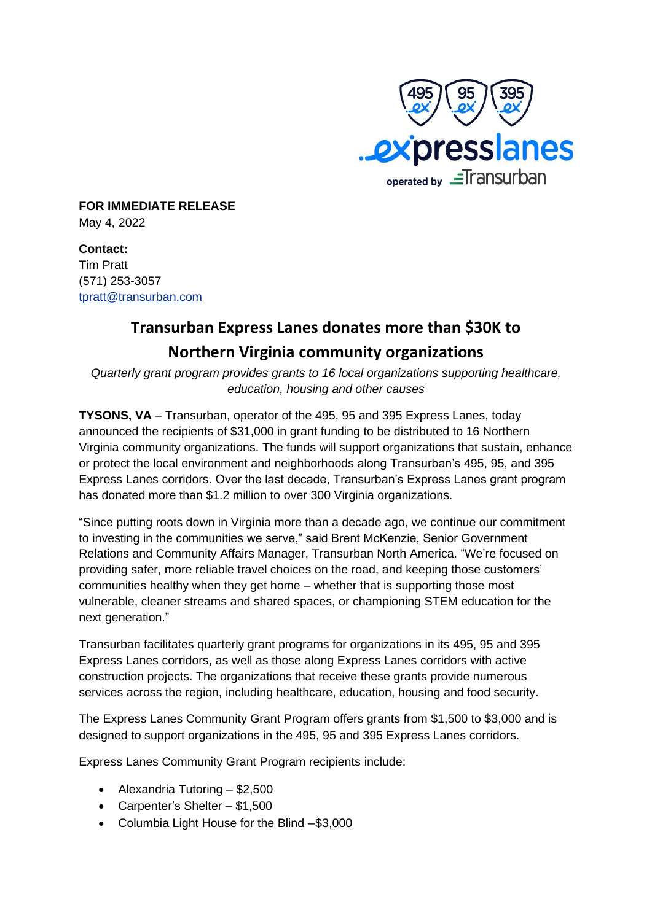

**FOR IMMEDIATE RELEASE** May 4, 2022

**Contact:** Tim Pratt (571) 253-3057 [tpratt@transurban.com](mailto:tpratt@transurban.com)

## **Transurban Express Lanes donates more than \$30K to Northern Virginia community organizations**

*Quarterly grant program provides grants to 16 local organizations supporting healthcare, education, housing and other causes*

**TYSONS, VA** – Transurban, operator of the 495, 95 and 395 Express Lanes, today announced the recipients of \$31,000 in grant funding to be distributed to 16 Northern Virginia community organizations. The funds will support organizations that sustain, enhance or protect the local environment and neighborhoods along Transurban's 495, 95, and 395 Express Lanes corridors. Over the last decade, Transurban's Express Lanes grant program has donated more than \$1.2 million to over 300 Virginia organizations.

"Since putting roots down in Virginia more than a decade ago, we continue our commitment to investing in the communities we serve," said Brent McKenzie, Senior Government Relations and Community Affairs Manager, Transurban North America. "We're focused on providing safer, more reliable travel choices on the road, and keeping those customers' communities healthy when they get home – whether that is supporting those most vulnerable, cleaner streams and shared spaces, or championing STEM education for the next generation."

Transurban facilitates quarterly grant programs for organizations in its 495, 95 and 395 Express Lanes corridors, as well as those along Express Lanes corridors with active construction projects. The organizations that receive these grants provide numerous services across the region, including healthcare, education, housing and food security.

The Express Lanes Community Grant Program offers grants from \$1,500 to \$3,000 and is designed to support organizations in the 495, 95 and 395 Express Lanes corridors.

Express Lanes Community Grant Program recipients include:

- Alexandria Tutoring \$2,500
- Carpenter's Shelter \$1,500
- Columbia Light House for the Blind –\$3,000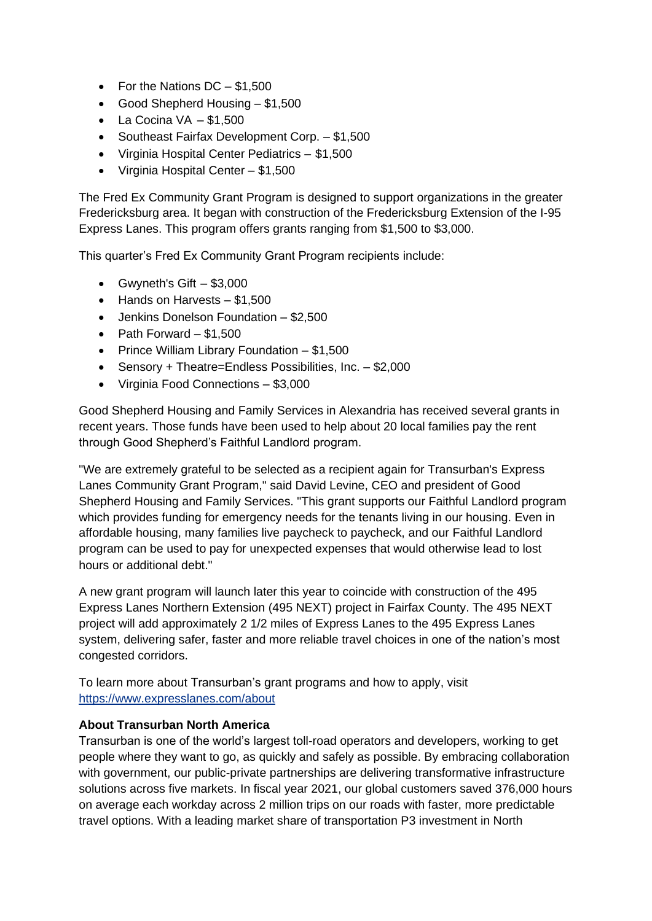- For the Nations DC \$1,500
- Good Shepherd Housing \$1,500
- La Cocina  $VA $1,500$
- Southeast Fairfax Development Corp. \$1,500
- Virginia Hospital Center Pediatrics \$1,500
- Virginia Hospital Center \$1,500

The Fred Ex Community Grant Program is designed to support organizations in the greater Fredericksburg area. It began with construction of the Fredericksburg Extension of the I-95 Express Lanes. This program offers grants ranging from \$1,500 to \$3,000.

This quarter's Fred Ex Community Grant Program recipients include:

- Gwyneth's Gift  $-$  \$3,000
- Hands on Harvests \$1,500
- Jenkins Donelson Foundation \$2,500
- Path Forward  $-$  \$1,500
- Prince William Library Foundation \$1,500
- Sensory + Theatre=Endless Possibilities, Inc. \$2,000
- Virginia Food Connections \$3,000

Good Shepherd Housing and Family Services in Alexandria has received several grants in recent years. Those funds have been used to help about 20 local families pay the rent through Good Shepherd's Faithful Landlord program.

"We are extremely grateful to be selected as a recipient again for Transurban's Express Lanes Community Grant Program," said David Levine, CEO and president of Good Shepherd Housing and Family Services. "This grant supports our Faithful Landlord program which provides funding for emergency needs for the tenants living in our housing. Even in affordable housing, many families live paycheck to paycheck, and our Faithful Landlord program can be used to pay for unexpected expenses that would otherwise lead to lost hours or additional debt."

A new grant program will launch later this year to coincide with construction of the 495 Express Lanes Northern Extension (495 NEXT) project in Fairfax County. The 495 NEXT project will add approximately 2 1/2 miles of Express Lanes to the 495 Express Lanes system, delivering safer, faster and more reliable travel choices in one of the nation's most congested corridors.

To learn more about Transurban's grant programs and how to apply, visit <https://www.expresslanes.com/about>

## **About Transurban North America**

Transurban is one of the world's largest toll-road operators and developers, working to get people where they want to go, as quickly and safely as possible. By embracing collaboration with government, our public-private partnerships are delivering transformative infrastructure solutions across five markets. In fiscal year 2021, our global customers saved 376,000 hours on average each workday across 2 million trips on our roads with faster, more predictable travel options. With a leading market share of transportation P3 investment in North